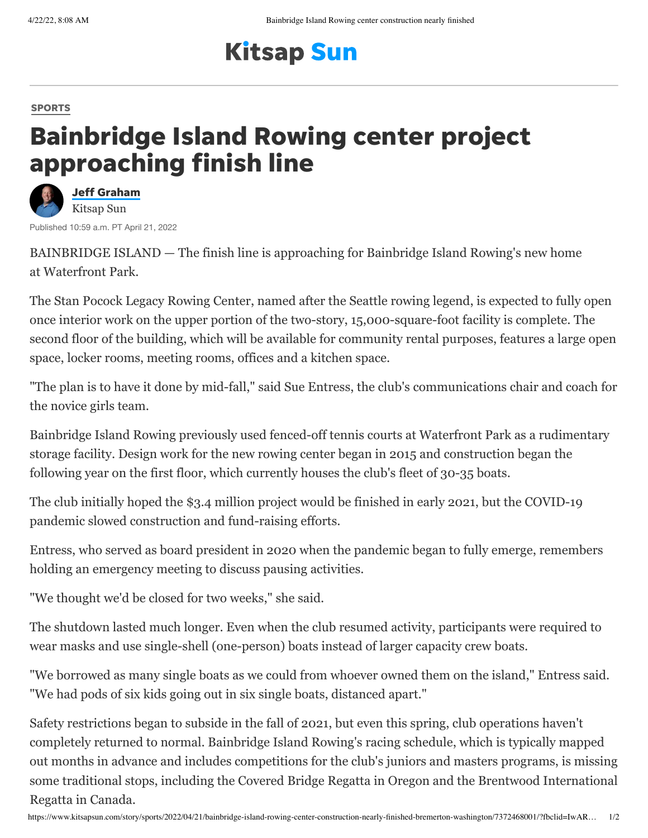## **Kitsap Sun**

## [SPORTS](https://www.kitsapsun.com/sports/)

## Bainbridge Island Rowing center project approaching finish line



BAINBRIDGE ISLAND — The finish line is approaching for Bainbridge Island Rowing's new home at Waterfront Park.

The Stan Pocock Legacy Rowing Center, named after the Seattle rowing legend, is expected to fully open once interior work on the upper portion of the two-story, 15,000-square-foot facility is complete. The second floor of the building, which will be available for community rental purposes, features a large open space, locker rooms, meeting rooms, offices and a kitchen space.

"The plan is to have it done by mid-fall," said Sue Entress, the club's communications chair and coach for the novice girls team.

Bainbridge Island Rowing previously used fenced-off tennis courts at Waterfront Park as a rudimentary storage facility. Design work for the new rowing center began in 2015 and construction began the following year on the first floor, which currently houses the club's fleet of 30-35 boats.

The club initially hoped the \$3.4 million project would be finished in early 2021, but the COVID-19 pandemic slowed construction and fund-raising efforts.

Entress, who served as board president in 2020 when the pandemic began to fully emerge, remembers holding an emergency meeting to discuss pausing activities.

"We thought we'd be closed for two weeks," she said.

The shutdown lasted much longer. Even when the club resumed activity, participants were required to wear masks and use single-shell (one-person) boats instead of larger capacity crew boats.

"We borrowed as many single boats as we could from whoever owned them on the island," Entress said. "We had pods of six kids going out in six single boats, distanced apart."

Safety restrictions began to subside in the fall of 2021, but even this spring, club operations haven't completely returned to normal. Bainbridge Island Rowing's racing schedule, which is typically mapped out months in advance and includes competitions for the club's juniors and masters programs, is missing some traditional stops, including the Covered Bridge Regatta in Oregon and the Brentwood International Regatta in Canada.